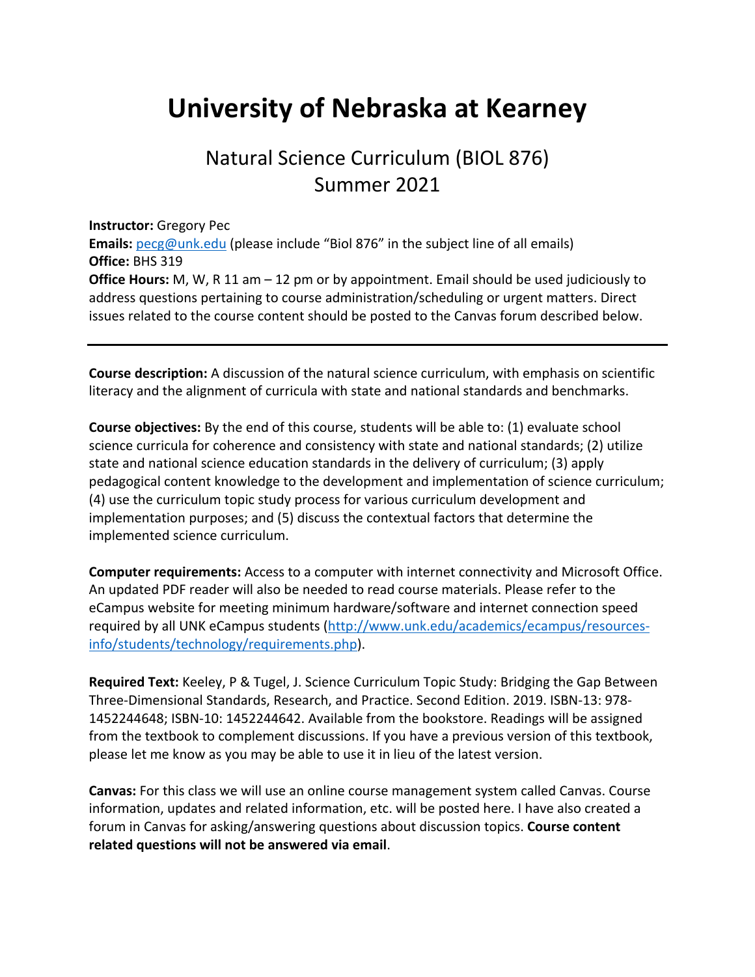# **University of Nebraska at Kearney**

## Natural Science Curriculum (BIOL 876) Summer 2021

#### **Instructor:** Gregory Pec

**Emails:** pecg@unk.edu (please include "Biol 876" in the subject line of all emails) **Office:** BHS 319 **Office Hours:** M, W, R 11 am – 12 pm or by appointment. Email should be used judiciously to address questions pertaining to course administration/scheduling or urgent matters. Direct issues related to the course content should be posted to the Canvas forum described below.

**Course description:** A discussion of the natural science curriculum, with emphasis on scientific literacy and the alignment of curricula with state and national standards and benchmarks.

**Course objectives:** By the end of this course, students will be able to: (1) evaluate school science curricula for coherence and consistency with state and national standards; (2) utilize state and national science education standards in the delivery of curriculum; (3) apply pedagogical content knowledge to the development and implementation of science curriculum; (4) use the curriculum topic study process for various curriculum development and implementation purposes; and (5) discuss the contextual factors that determine the implemented science curriculum.

**Computer requirements:** Access to a computer with internet connectivity and Microsoft Office. An updated PDF reader will also be needed to read course materials. Please refer to the eCampus website for meeting minimum hardware/software and internet connection speed required by all UNK eCampus students (http://www.unk.edu/academics/ecampus/resourcesinfo/students/technology/requirements.php).

**Required Text:** Keeley, P & Tugel, J. Science Curriculum Topic Study: Bridging the Gap Between Three-Dimensional Standards, Research, and Practice. Second Edition. 2019. ISBN-13: 978- 1452244648; ISBN-10: 1452244642. Available from the bookstore. Readings will be assigned from the textbook to complement discussions. If you have a previous version of this textbook, please let me know as you may be able to use it in lieu of the latest version.

**Canvas:** For this class we will use an online course management system called Canvas. Course information, updates and related information, etc. will be posted here. I have also created a forum in Canvas for asking/answering questions about discussion topics. **Course content related questions will not be answered via email**.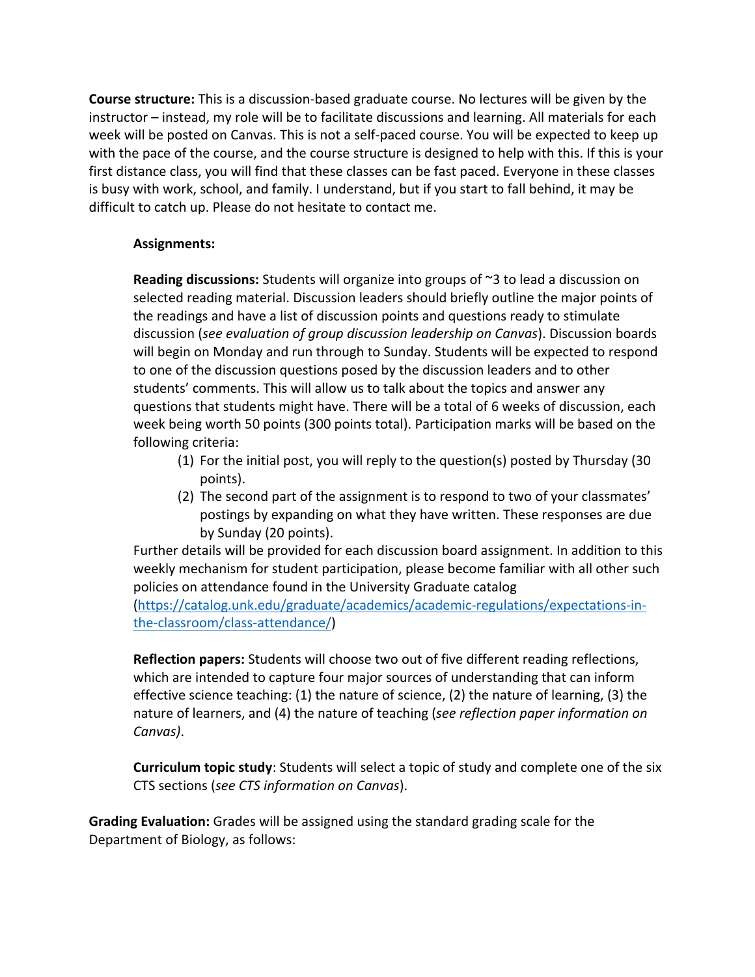**Course structure:** This is a discussion-based graduate course. No lectures will be given by the instructor – instead, my role will be to facilitate discussions and learning. All materials for each week will be posted on Canvas. This is not a self-paced course. You will be expected to keep up with the pace of the course, and the course structure is designed to help with this. If this is your first distance class, you will find that these classes can be fast paced. Everyone in these classes is busy with work, school, and family. I understand, but if you start to fall behind, it may be difficult to catch up. Please do not hesitate to contact me.

#### **Assignments:**

**Reading discussions:** Students will organize into groups of ~3 to lead a discussion on selected reading material. Discussion leaders should briefly outline the major points of the readings and have a list of discussion points and questions ready to stimulate discussion (*see evaluation of group discussion leadership on Canvas*). Discussion boards will begin on Monday and run through to Sunday. Students will be expected to respond to one of the discussion questions posed by the discussion leaders and to other students' comments. This will allow us to talk about the topics and answer any questions that students might have. There will be a total of 6 weeks of discussion, each week being worth 50 points (300 points total). Participation marks will be based on the following criteria:

- (1) For the initial post, you will reply to the question(s) posted by Thursday (30 points).
- (2) The second part of the assignment is to respond to two of your classmates' postings by expanding on what they have written. These responses are due by Sunday (20 points).

Further details will be provided for each discussion board assignment. In addition to this weekly mechanism for student participation, please become familiar with all other such policies on attendance found in the University Graduate catalog

(https://catalog.unk.edu/graduate/academics/academic-regulations/expectations-inthe-classroom/class-attendance/)

**Reflection papers:** Students will choose two out of five different reading reflections, which are intended to capture four major sources of understanding that can inform effective science teaching: (1) the nature of science, (2) the nature of learning, (3) the nature of learners, and (4) the nature of teaching (*see reflection paper information on Canvas)*.

**Curriculum topic study**: Students will select a topic of study and complete one of the six CTS sections (*see CTS information on Canvas*).

**Grading Evaluation:** Grades will be assigned using the standard grading scale for the Department of Biology, as follows: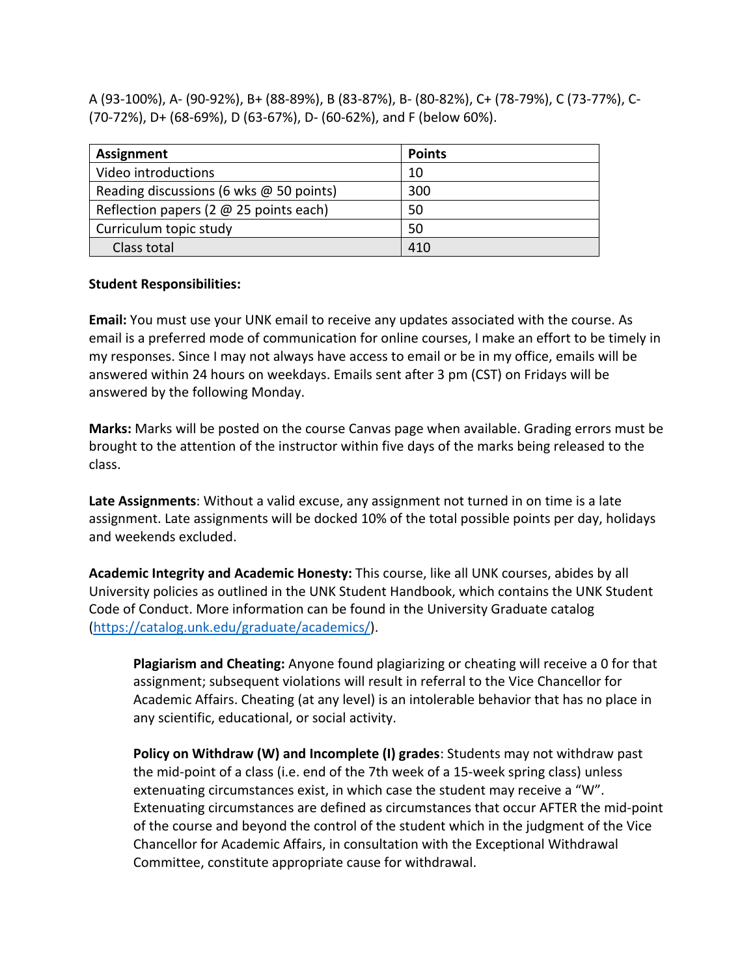A (93-100%), A- (90-92%), B+ (88-89%), B (83-87%), B- (80-82%), C+ (78-79%), C (73-77%), C- (70-72%), D+ (68-69%), D (63-67%), D- (60-62%), and F (below 60%).

| Assignment                              | <b>Points</b> |
|-----------------------------------------|---------------|
| Video introductions                     | 10            |
| Reading discussions (6 wks @ 50 points) | 300           |
| Reflection papers (2 @ 25 points each)  | 50            |
| Curriculum topic study                  | 50            |
| Class total                             | 410           |

#### **Student Responsibilities:**

**Email:** You must use your UNK email to receive any updates associated with the course. As email is a preferred mode of communication for online courses, I make an effort to be timely in my responses. Since I may not always have access to email or be in my office, emails will be answered within 24 hours on weekdays. Emails sent after 3 pm (CST) on Fridays will be answered by the following Monday.

**Marks:** Marks will be posted on the course Canvas page when available. Grading errors must be brought to the attention of the instructor within five days of the marks being released to the class.

**Late Assignments**: Without a valid excuse, any assignment not turned in on time is a late assignment. Late assignments will be docked 10% of the total possible points per day, holidays and weekends excluded.

**Academic Integrity and Academic Honesty:** This course, like all UNK courses, abides by all University policies as outlined in the UNK Student Handbook, which contains the UNK Student Code of Conduct. More information can be found in the University Graduate catalog (https://catalog.unk.edu/graduate/academics/).

**Plagiarism and Cheating:** Anyone found plagiarizing or cheating will receive a 0 for that assignment; subsequent violations will result in referral to the Vice Chancellor for Academic Affairs. Cheating (at any level) is an intolerable behavior that has no place in any scientific, educational, or social activity.

**Policy on Withdraw (W) and Incomplete (I) grades**: Students may not withdraw past the mid-point of a class (i.e. end of the 7th week of a 15-week spring class) unless extenuating circumstances exist, in which case the student may receive a "W". Extenuating circumstances are defined as circumstances that occur AFTER the mid-point of the course and beyond the control of the student which in the judgment of the Vice Chancellor for Academic Affairs, in consultation with the Exceptional Withdrawal Committee, constitute appropriate cause for withdrawal.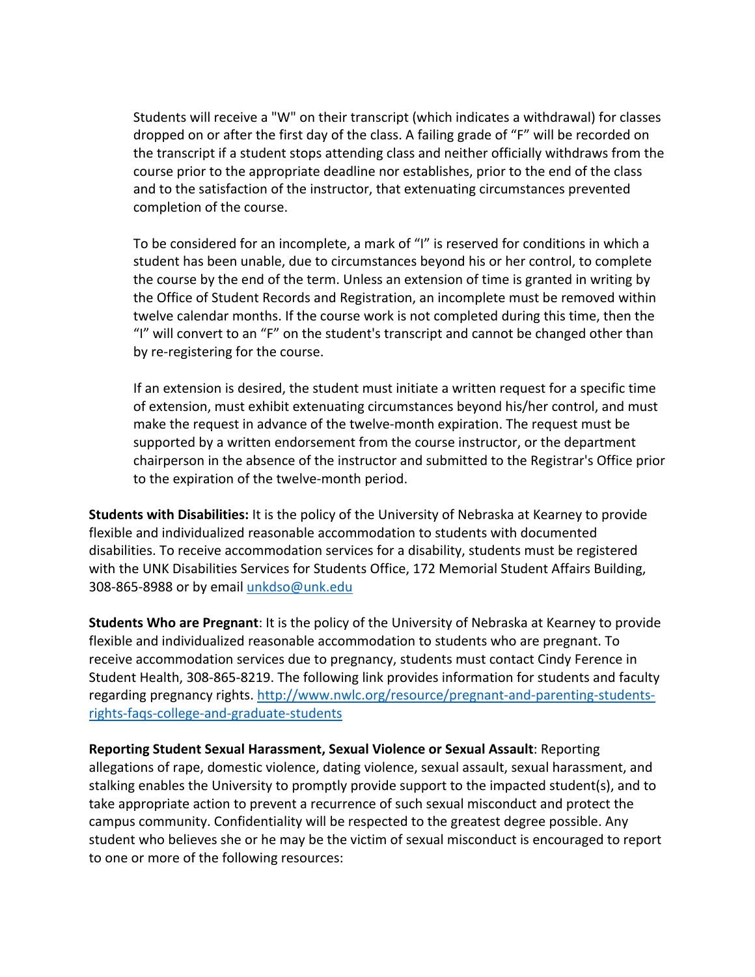Students will receive a "W" on their transcript (which indicates a withdrawal) for classes dropped on or after the first day of the class. A failing grade of "F" will be recorded on the transcript if a student stops attending class and neither officially withdraws from the course prior to the appropriate deadline nor establishes, prior to the end of the class and to the satisfaction of the instructor, that extenuating circumstances prevented completion of the course.

To be considered for an incomplete, a mark of "I" is reserved for conditions in which a student has been unable, due to circumstances beyond his or her control, to complete the course by the end of the term. Unless an extension of time is granted in writing by the Office of Student Records and Registration, an incomplete must be removed within twelve calendar months. If the course work is not completed during this time, then the "I" will convert to an "F" on the student's transcript and cannot be changed other than by re-registering for the course.

If an extension is desired, the student must initiate a written request for a specific time of extension, must exhibit extenuating circumstances beyond his/her control, and must make the request in advance of the twelve-month expiration. The request must be supported by a written endorsement from the course instructor, or the department chairperson in the absence of the instructor and submitted to the Registrar's Office prior to the expiration of the twelve-month period.

**Students with Disabilities:** It is the policy of the University of Nebraska at Kearney to provide flexible and individualized reasonable accommodation to students with documented disabilities. To receive accommodation services for a disability, students must be registered with the UNK Disabilities Services for Students Office, 172 Memorial Student Affairs Building, 308-865-8988 or by email unkdso@unk.edu

**Students Who are Pregnant**: It is the policy of the University of Nebraska at Kearney to provide flexible and individualized reasonable accommodation to students who are pregnant. To receive accommodation services due to pregnancy, students must contact Cindy Ference in Student Health, 308-865-8219. The following link provides information for students and faculty regarding pregnancy rights. http://www.nwlc.org/resource/pregnant-and-parenting-studentsrights-faqs-college-and-graduate-students

**Reporting Student Sexual Harassment, Sexual Violence or Sexual Assault**: Reporting allegations of rape, domestic violence, dating violence, sexual assault, sexual harassment, and stalking enables the University to promptly provide support to the impacted student(s), and to take appropriate action to prevent a recurrence of such sexual misconduct and protect the campus community. Confidentiality will be respected to the greatest degree possible. Any student who believes she or he may be the victim of sexual misconduct is encouraged to report to one or more of the following resources: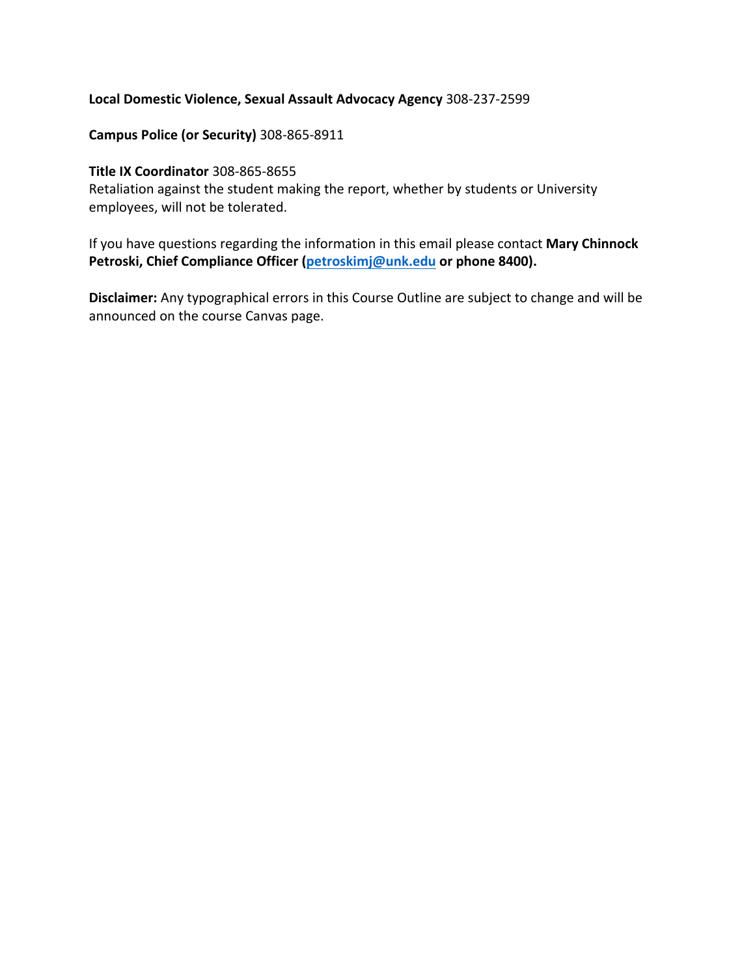#### **Local Domestic Violence, Sexual Assault Advocacy Agency** 308-237-2599

#### **Campus Police (or Security)** 308-865-8911

#### **Title IX Coordinator** 308-865-8655

Retaliation against the student making the report, whether by students or University employees, will not be tolerated.

If you have questions regarding the information in this email please contact **Mary Chinnock Petroski, Chief Compliance Officer (petroskimj@unk.edu or phone 8400).**

**Disclaimer:** Any typographical errors in this Course Outline are subject to change and will be announced on the course Canvas page.